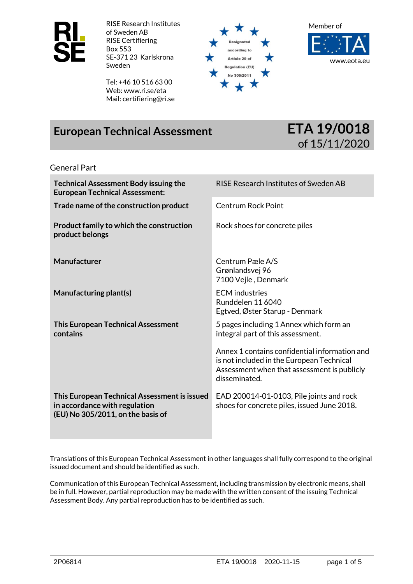

RISE Research Institutes of Sweden AB RISE Certifiering Box 553 SE-371 23 Karlskrona Sweden

Tel: +46 10 516 63 00 Web: www.ri.se/eta Mail: certifiering@ri.se



Member of



# **European Technical Assessment ETA 19/0018**



#### General Part

| <b>Technical Assessment Body issuing the</b><br><b>European Technical Assessment:</b>                              | RISE Research Institutes of Sweden AB                                                                                                                      |  |
|--------------------------------------------------------------------------------------------------------------------|------------------------------------------------------------------------------------------------------------------------------------------------------------|--|
| Trade name of the construction product                                                                             | <b>Centrum Rock Point</b>                                                                                                                                  |  |
| Product family to which the construction<br>product belongs                                                        | Rock shoes for concrete piles                                                                                                                              |  |
| <b>Manufacturer</b>                                                                                                | Centrum Pæle A/S<br>Grønlandsvej 96<br>7100 Vejle, Denmark                                                                                                 |  |
| Manufacturing plant(s)                                                                                             | <b>ECM</b> industries<br>Runddelen 11 6040<br>Egtved, Øster Starup - Denmark                                                                               |  |
| <b>This European Technical Assessment</b><br>contains                                                              | 5 pages including 1 Annex which form an<br>integral part of this assessment.                                                                               |  |
|                                                                                                                    | Annex 1 contains confidential information and<br>is not included in the European Technical<br>Assessment when that assessment is publicly<br>disseminated. |  |
| This European Technical Assessment is issued<br>in accordance with regulation<br>(EU) No 305/2011, on the basis of | EAD 200014-01-0103, Pile joints and rock<br>shoes for concrete piles, issued June 2018.                                                                    |  |

Translations of this European Technical Assessment in other languages shall fully correspond to the original issued document and should be identified as such.

Communication of this European Technical Assessment, including transmission by electronic means, shall be in full. However, partial reproduction may be made with the written consent of the issuing Technical Assessment Body. Any partial reproduction has to be identified as such.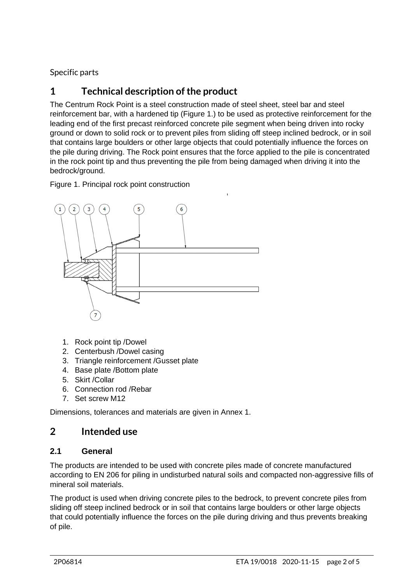Specific parts

# **1 Technical description of the product**

The Centrum Rock Point is a steel construction made of steel sheet, steel bar and steel reinforcement bar, with a hardened tip (Figure 1.) to be used as protective reinforcement for the leading end of the first precast reinforced concrete pile segment when being driven into rocky ground or down to solid rock or to prevent piles from sliding off steep inclined bedrock, or in soil that contains large boulders or other large objects that could potentially influence the forces on the pile during driving. The Rock point ensures that the force applied to the pile is concentrated in the rock point tip and thus preventing the pile from being damaged when driving it into the bedrock/ground.

Figure 1. Principal rock point construction



- 1. Rock point tip /Dowel
- 2. Centerbush /Dowel casing
- 3. Triangle reinforcement /Gusset plate
- 4. Base plate /Bottom plate
- 5. Skirt /Collar
- 6. Connection rod /Rebar
- 7. Set screw M12

Dimensions, tolerances and materials are given in Annex 1.

### **2 Intended use**

### **2.1 General**

The products are intended to be used with concrete piles made of concrete manufactured according to EN 206 for piling in undisturbed natural soils and compacted non-aggressive fills of mineral soil materials.

The product is used when driving concrete piles to the bedrock, to prevent concrete piles from sliding off steep inclined bedrock or in soil that contains large boulders or other large objects that could potentially influence the forces on the pile during driving and thus prevents breaking of pile.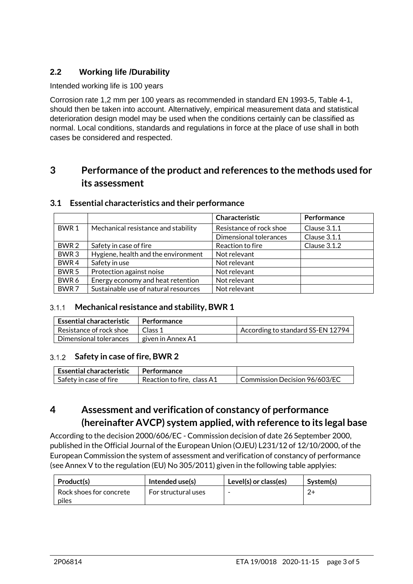### **2.2 Working life /Durability**

#### Intended working life is 100 years

Corrosion rate 1,2 mm per 100 years as recommended in standard EN 1993-5, Table 4-1, should then be taken into account. Alternatively, empirical measurement data and statistical deterioration design model may be used when the conditions certainly can be classified as normal. Local conditions, standards and regulations in force at the place of use shall in both cases be considered and respected.

### **3 Performance of the product and references to the methods used for its assessment**

|                  |                                      | Characteristic          | Performance  |
|------------------|--------------------------------------|-------------------------|--------------|
| BWR <sub>1</sub> | Mechanical resistance and stability  | Resistance of rock shoe | Clause 3.1.1 |
|                  |                                      | Dimensional tolerances  | Clause 3.1.1 |
| BWR 2            | Safety in case of fire               | Reaction to fire        | Clause 3.1.2 |
| BWR <sub>3</sub> | Hygiene, health and the environment  | Not relevant            |              |
| BWR <sub>4</sub> | Safety in use                        | Not relevant            |              |
| BWR <sub>5</sub> | Protection against noise             | Not relevant            |              |
| BWR 6            | Energy economy and heat retention    | Not relevant            |              |
| BWR <sub>7</sub> | Sustainable use of natural resources | Not relevant            |              |

#### **3.1 Essential characteristics and their performance**

### **Mechanical resistance and stability, BWR 1**

| <b>Essential characteristic</b> | Performance       |                                   |
|---------------------------------|-------------------|-----------------------------------|
| Resistance of rock shoe         | Class 1           | According to standard SS-EN 12794 |
| Dimensional tolerances          | given in Annex A1 |                                   |

#### **Safety in case of fire, BWR 2**

| $\mathsf I$ Essential characteristic | l Performance              |                               |
|--------------------------------------|----------------------------|-------------------------------|
| Safety in case of fire               | Reaction to fire, class A1 | Commission Decision 96/603/EC |

### **4 Assessment and verification of constancy of performance (hereinafter AVCP) system applied, with reference to its legal base**

According to the decision 2000/606/EC - Commission decision of date 26 September 2000, published in the Official Journal of the European Union (OJEU) L231/12 of 12/10/2000, of the European Commission the system of assessment and verification of constancy of performance (see Annex V to the regulation (EU) No 305/2011) given in the following table applyies:

| Product(s)                       | Intended use(s)     | Level(s) or class(es)    | System(s) |
|----------------------------------|---------------------|--------------------------|-----------|
| Rock shoes for concrete<br>piles | For structural uses | $\overline{\phantom{0}}$ |           |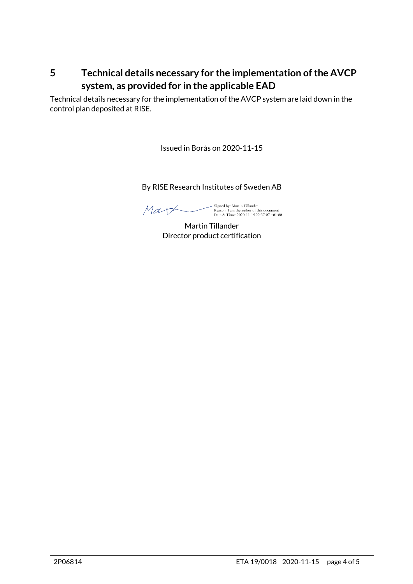### **5 Technical details necessary for the implementation of the AVCP system, as provided for in the applicable EAD**

Technical details necessary for the implementation of the AVCP system are laid down in the control plan deposited at RISE.

Issued in Borås on 2020-11-15

By RISE Research Institutes of Sweden AB

Mag

Signed by: Martin Tillander<br>Reason: I am the author of this document<br>Date & Time: 2020-11-15 22:37:07 +01:00

Martin Tillander Director product certification